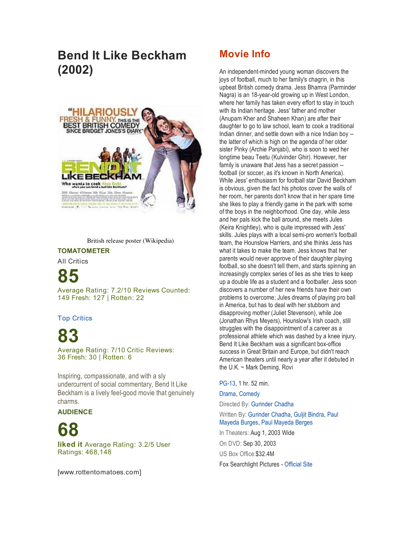### **Bend It Like Beckham (2002)**



British release poster (Wikipedia)

**TOMATOMETER**

All Critics

# **85**

Average Rating: 7.2/10 Reviews Counted: 149 Fresh: 127 | Rotten: 22

Top Critics

**83**

Average Rating: 7/10 Critic Reviews: 36 Fresh: 30 | Rotten: 6

Inspiring, compassionate, and with a sly undercurrent of social commentary, Bend It Like Beckham is a lively feel-good movie that genuinely charms.

#### **AUDIENCE**

**68 liked it** Average Rating: 3.2/5 User Ratings: 468,148

[www.rottentomatoes.com]

### **Movie Info**

An independent-minded young woman discovers the joys of football, much to her family's chagrin, in this upbeat British comedy drama. Jess Bhamra (Parminder Nagra) is an 18-year-old growing up in West London, where her family has taken every effort to stay in touch with its Indian heritage. Jess' father and mother (Anupam Kher and Shaheen Khan) are after their daughter to go to law school, learn to cook a traditional Indian dinner, and settle down with a nice Indian boy - the latter of which is high on the agenda of her older sister Pinky (Archie Panjabi), who is soon to wed her longtime beau Teetu (Kulvinder Ghir). However, her family is unaware that Jess has a secret passion - football (or soccer, as it's known in North America). While Jess' enthusiasm for football star David Beckham is obvious, given the fact his photos cover the walls of her room, her parents don't know that in her spare time she likes to play a friendly game in the park with some of the boys in the neighborhood. One day, while Jess and her pals kick the ball around, she meets Jules (Keira Knightley), who is quite impressed with Jess' skills. Jules plays with a local semi-pro women's football team, the Hounslow Harriers, and she thinks Jess has what it takes to make the team. Jess knows that her parents would never approve of their daughter playing football, so she doesn't tell them, and starts spinning an increasingly complex series of lies as she tries to keep up a double life as a student and a footballer. Jess soon discovers a number of her new friends have their own problems to overcome; Jules dreams of playing pro ball in America, but has to deal with her stubborn and disapproving mother (Juliet Stevenson), while Joe (Jonathan Rhys Meyers), Hounslow's Irish coach, still struggles with the disappointment of a career as a professional athlete which was dashed by a knee injury. Bend It Like Beckham was a significant box-office success in Great Britain and Europe, but didn't reach American theaters until nearly a year after it debuted in the U.K. ~ Mark Deming, Rovi

PG-13, 1 hr. 52 min.

Drama, Comedy

Directed By: Gurinder Chadha

Written By: Gurinder Chadha, Guljit Bindra, Paul Mayeda Burges, Paul Mayeda Berges

In Theaters: Aug 1, 2003 Wide On DVD: Sep 30, 2003 US Box Office:\$32.4M Fox Searchlight Pictures - Official Site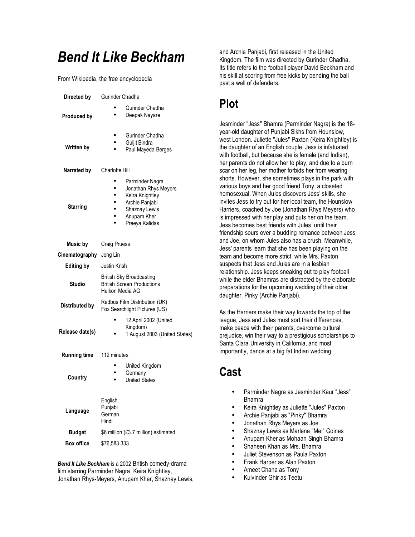# *Bend It Like Beckham*

From Wikipedia, the free encyclopedia

| Directed by                    | Gurinder Chadha                                                                         |                                                                                                                                |
|--------------------------------|-----------------------------------------------------------------------------------------|--------------------------------------------------------------------------------------------------------------------------------|
| <b>Produced by</b>             |                                                                                         | Gurinder Chadha<br>Deepak Nayare                                                                                               |
| Written by                     |                                                                                         | Gurinder Chadha<br>Guljit Bindra<br>Paul Mayeda Berges                                                                         |
| Narrated by                    | <b>Charlotte Hill</b>                                                                   |                                                                                                                                |
| Starring                       | ٠<br>٠<br>٠<br>$\bullet$<br>$\bullet$                                                   | Parminder Nagra<br>Jonathan Rhys Meyers<br>Keira Knightley<br>Archie Panjabi<br>Shaznay Lewis<br>Anupam Kher<br>Preeya Kalidas |
| Music by                       | Craig Pruess                                                                            |                                                                                                                                |
| <b>Cinematography</b> Jong Lin |                                                                                         |                                                                                                                                |
| <b>Editing by</b>              | Justin Krish                                                                            |                                                                                                                                |
| <b>Studio</b>                  | <b>British Sky Broadcasting</b><br><b>British Screen Productions</b><br>Helkon Media AG |                                                                                                                                |
| Distributed by                 | Redbus Film Distribution (UK)<br>Fox Searchlight Pictures (US)                          |                                                                                                                                |
| Release date(s)                |                                                                                         | 12 April 2002 (United<br>Kingdom)<br>1 August 2003 (United States)                                                             |
| <b>Running time</b>            | 112 minutes                                                                             |                                                                                                                                |
| Country                        | $\bullet$                                                                               | United Kingdom<br>Germany<br><b>United States</b>                                                                              |
| Language                       | English<br>Punjabi<br>German<br>Hindi                                                   |                                                                                                                                |
| <b>Budget</b>                  | \$6 million (£3.7 million) estimated                                                    |                                                                                                                                |
| <b>Box office</b>              | \$76,583,333                                                                            |                                                                                                                                |

*Bend It Like Beckham* is a 2002 British comedy-drama film starring Parminder Nagra, Keira Knightley, Jonathan Rhys-Meyers, Anupam Kher, Shaznay Lewis,

and Archie Panjabi, first released in the United Kingdom. The film was directed by Gurinder Chadha. Its title refers to the football player David Beckham and his skill at scoring from free kicks by bending the ball past a wall of defenders.

# **Plot**

Jesminder "Jess" Bhamra (Parminder Nagra) is the 18 year-old daughter of Punjabi Sikhs from Hounslow, west London. Juliette "Jules" Paxton (Keira Knightley) is the daughter of an English couple. Jess is infatuated with football, but because she is female (and Indian), her parents do not allow her to play, and due to a burn scar on her leg, her mother forbids her from wearing shorts. However, she sometimes plays in the park with various boys and her good friend Tony, a closeted homosexual. When Jules discovers Jess' skills, she invites Jess to try out for her local team, the Hounslow Harriers, coached by Joe (Jonathan Rhys Meyers) who is impressed with her play and puts her on the team. Jess becomes best friends with Jules, until their friendship sours over a budding romance between Jess and Joe, on whom Jules also has a crush. Meanwhile, Jess' parents learn that she has been playing on the team and become more strict, while Mrs. Paxton suspects that Jess and Jules are in a lesbian relationship. Jess keeps sneaking out to play football while the elder Bhamras are distracted by the elaborate preparations for the upcoming wedding of their older daughter, Pinky (Archie Panjabi).

As the Harriers make their way towards the top of the league, Jess and Jules must sort their differences, make peace with their parents, overcome cultural prejudice, win their way to a prestigious scholarships to Santa Clara University in California, and most importantly, dance at a big fat Indian wedding.

### **Cast**

- Parminder Nagra as Jesminder Kaur "Jess" Bhamra
- Keira Knightley as Juliette "Jules" Paxton
- Archie Panjabi as "Pinky" Bhamra
- Jonathan Rhys Meyers as Joe
- Shaznay Lewis as Marlena "Mel" Goines
- Anupam Kher as Mohaan Singh Bhamra
- Shaheen Khan as Mrs. Bhamra
- Juliet Stevenson as Paula Paxton
- Frank Harper as Alan Paxton
- Ameet Chana as Tony
- Kulvinder Ghir as Teetu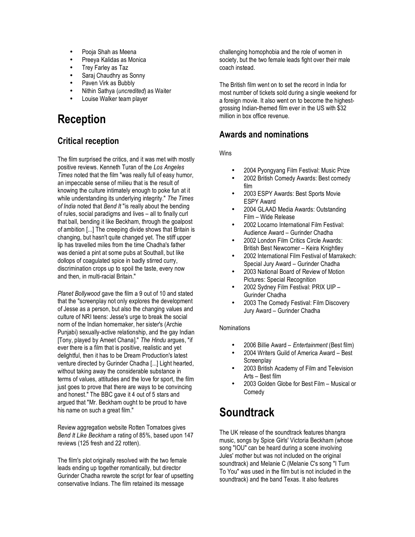- Pooja Shah as Meena
- Preeya Kalidas as Monica
- Trey Farley as Taz
- Saraj Chaudhry as Sonny
- Paven Virk as Bubbly
- Nithin Sathya (*uncredited*) as Waiter
- Louise Walker team player

# **Reception**

#### **Critical reception**

The film surprised the critics, and it was met with mostly positive reviews. Kenneth Turan of the *Los Angeles Times* noted that the film "was really full of easy humor, an impeccable sense of milieu that is the result of knowing the culture intimately enough to poke fun at it while understanding its underlying integrity." *The Times of India* noted that *Bend It* "is really about the bending of rules, social paradigms and lives – all to finally curl that ball, bending it like Beckham, through the goalpost of ambition [...] The creeping divide shows that Britain is changing, but hasn't quite changed yet. The stiff upper lip has travelled miles from the time Chadha's father was denied a pint at some pubs at Southall, but like dollops of coagulated spice in badly stirred curry, discrimination crops up to spoil the taste, every now and then, in multi-racial Britain."

*Planet Bollywood* gave the film a 9 out of 10 and stated that the "screenplay not only explores the development of Jesse as a person, but also the changing values and culture of NRI teens: Jesse's urge to break the social norm of the Indian homemaker, her sister's (Archie Punjabi) sexually-active relationship, and the gay Indian [Tony, played by Ameet Chana]." *The Hindu* argues, "if ever there is a film that is positive, realistic and yet delightful, then it has to be Dream Production's latest venture directed by Gurinder Chadha [...] Light hearted, without taking away the considerable substance in terms of values, attitudes and the love for sport, the film just goes to prove that there are ways to be convincing and honest." The BBC gave it 4 out of 5 stars and argued that "Mr. Beckham ought to be proud to have his name on such a great film."

Review aggregation website Rotten Tomatoes gives *Bend It Like Beckham* a rating of 85%, based upon 147 reviews (125 fresh and 22 rotten).

The film's plot originally resolved with the two female leads ending up together romantically, but director Gurinder Chadha rewrote the script for fear of upsetting conservative Indians. The film retained its message

challenging homophobia and the role of women in society, but the two female leads fight over their male coach instead.

The British film went on to set the record in India for most number of tickets sold during a single weekend for a foreign movie. It also went on to become the highestgrossing Indian-themed film ever in the US with \$32 million in box office revenue.

#### **Awards and nominations**

**Wins** 

- 2004 Pyongyang Film Festival: Music Prize
- 2002 British Comedy Awards: Best comedy film
- 2003 ESPY Awards: Best Sports Movie ESPY Award
- 2004 GLAAD Media Awards: Outstanding Film – Wide Release
- 2002 Locarno International Film Festival: Audience Award – Gurinder Chadha
- 2002 London Film Critics Circle Awards: British Best Newcomer – Keira Knightley
- 2002 International Film Festival of Marrakech: Special Jury Award – Gurinder Chadha
- 2003 National Board of Review of Motion Pictures: Special Recognition
- 2002 Sydney Film Festival: PRIX UIP Gurinder Chadha
- 2003 The Comedy Festival: Film Discovery Jury Award – Gurinder Chadha

#### **Nominations**

- 2006 Billie Award *Entertainment* (Best film)
- 2004 Writers Guild of America Award Best **Screenplay**
- 2003 British Academy of Film and Television Arts – Best film
- 2003 Golden Globe for Best Film Musical or Comedy

## **Soundtrack**

The UK release of the soundtrack features bhangra music, songs by Spice Girls' Victoria Beckham (whose song "IOU" can be heard during a scene involving Jules' mother but was not included on the original soundtrack) and Melanie C (Melanie C's song "I Turn To You" was used in the film but is not included in the soundtrack) and the band Texas. It also features